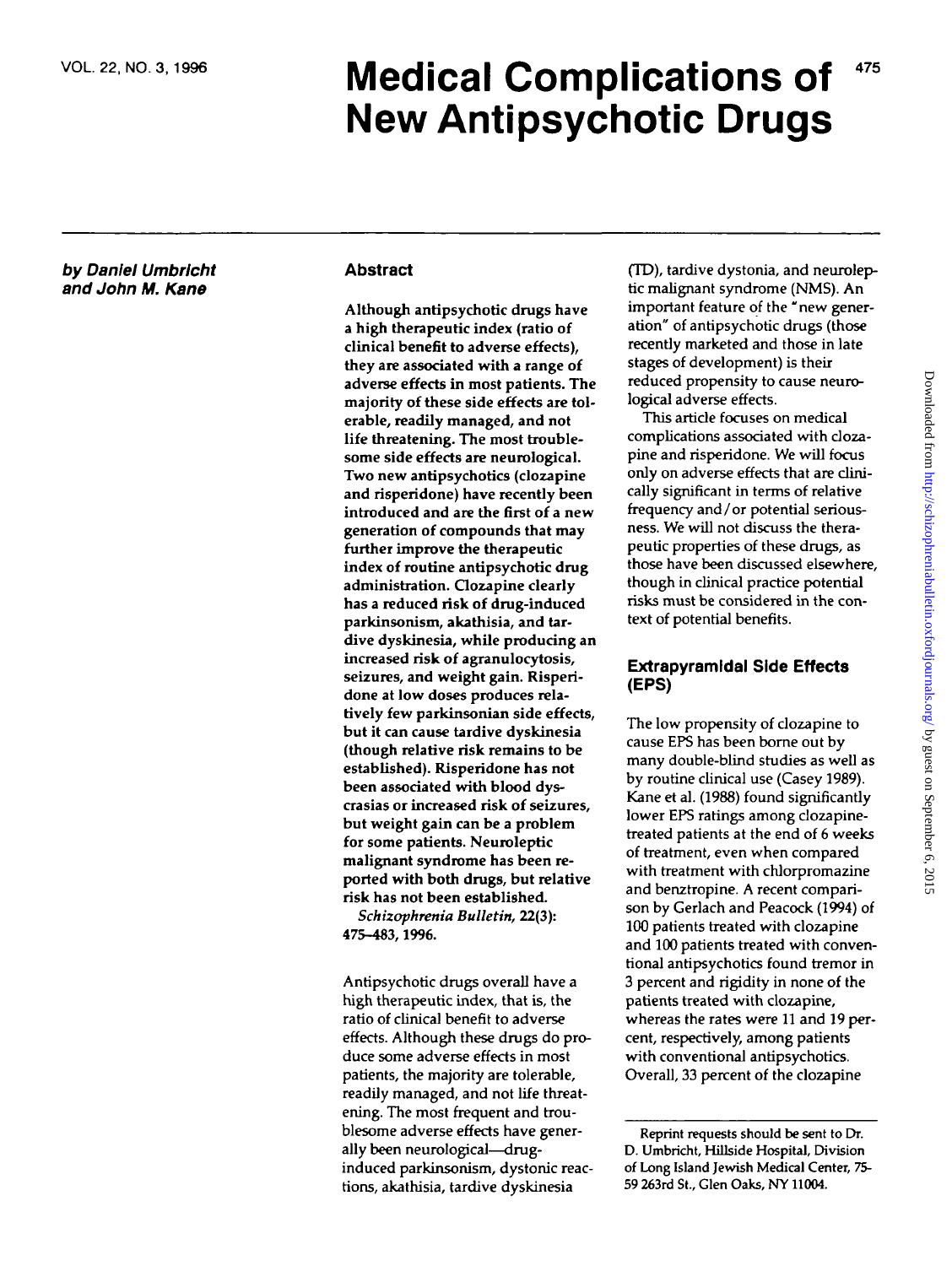# VOL22.NO. **3, 1996 Medical Complications of New Antipsychotic Drugs**

## **by Daniel Umbrlcht and John M. Kane**

#### **Abstract**

**Although antipsychotic drugs have a high therapeutic index (ratio of clinical benefit to adverse effects), they are associated with a range of adverse effects in most patients. The majority of these side effects are tolerable, readily managed, and not life threatening. The most troublesome side effects are neurological. Two new antipsychotics (clozapine and risperidone) have recently been introduced and are the first of a new generation of compounds that may further improve the therapeutic index of routine antipsychotic drug administration. Clozapine clearly has a reduced risk of drug-induced parkinsonism, akathisia, and tardive dyskinesia, while producing an increased risk of agranulocytosis, seizures, and weight gain. Risperidone at low doses produces relatively few parkinsonian side effects, but it can cause tardive dyskinesia (though relative risk remains to be established). Risperidone has not been associated with blood dyscrasias or increased risk of seizures, but weight gain can be a problem for some patients. Neuroleptic malignant syndrome has been reported with both drugs, but relative risk has not been established.**

*Schizophrenia Bulletin,* 22(3): **47S-483,1996.**

Antipsychotic drugs overall have a high therapeutic index, that is, the ratio of clinical benefit to adverse effects. Although these drugs do produce some adverse effects in most patients, the majority are tolerable, readily managed, and not life threatening. The most frequent and troublesome adverse effects have generally been neurological—druginduced parkinsonism, dystonic reactions, akathisia, tardive dyskinesia

(TD), tardive dystonia, and neuroleptic malignant syndrome (NMS). An important feature of the "new generation" of antipsychotic drugs (those recently marketed and those in late stages of development) is their reduced propensity to cause neurological adverse effects.

This article focuses on medical complications associated with clozapine and risperidone. We will focus only on adverse effects that are clinically significant in terms of relative frequency and/or potential seriousness. We will not discuss the therapeutic properties of these drugs, as those have been discussed elsewhere, though in clinical practice potential risks must be considered in the context of potential benefits.

# **Extrapyramldal Side Effects (EPS)**

The low propensity of clozapine to cause EPS has been borne out by many double-blind studies as well as by routine clinical use (Casey 1989). Kane et al. (1988) found significantly lower EPS ratings among dozapinetreated patients at the end of 6 weeks of treatment, even when compared with treatment with chlorpromazine and benztropine. A recent comparison by Gerlach and Peacock (1994) of 100 patients treated with clozapine and 100 patients treated with conventional antipsychotics found tremor in 3 percent and rigidity in none of the patients treated with clozapine, whereas the rates were 11 and 19 percent, respectively, among patients with conventional antipsychotics. Overall, 33 percent of the clozapine

Reprint requests should be sent to Dr. D. Umbricht, Hillside Hospital, Division of Long Island Jewish Medical Center, 75- 59 263rd St., Glen Oaks, NY 11004.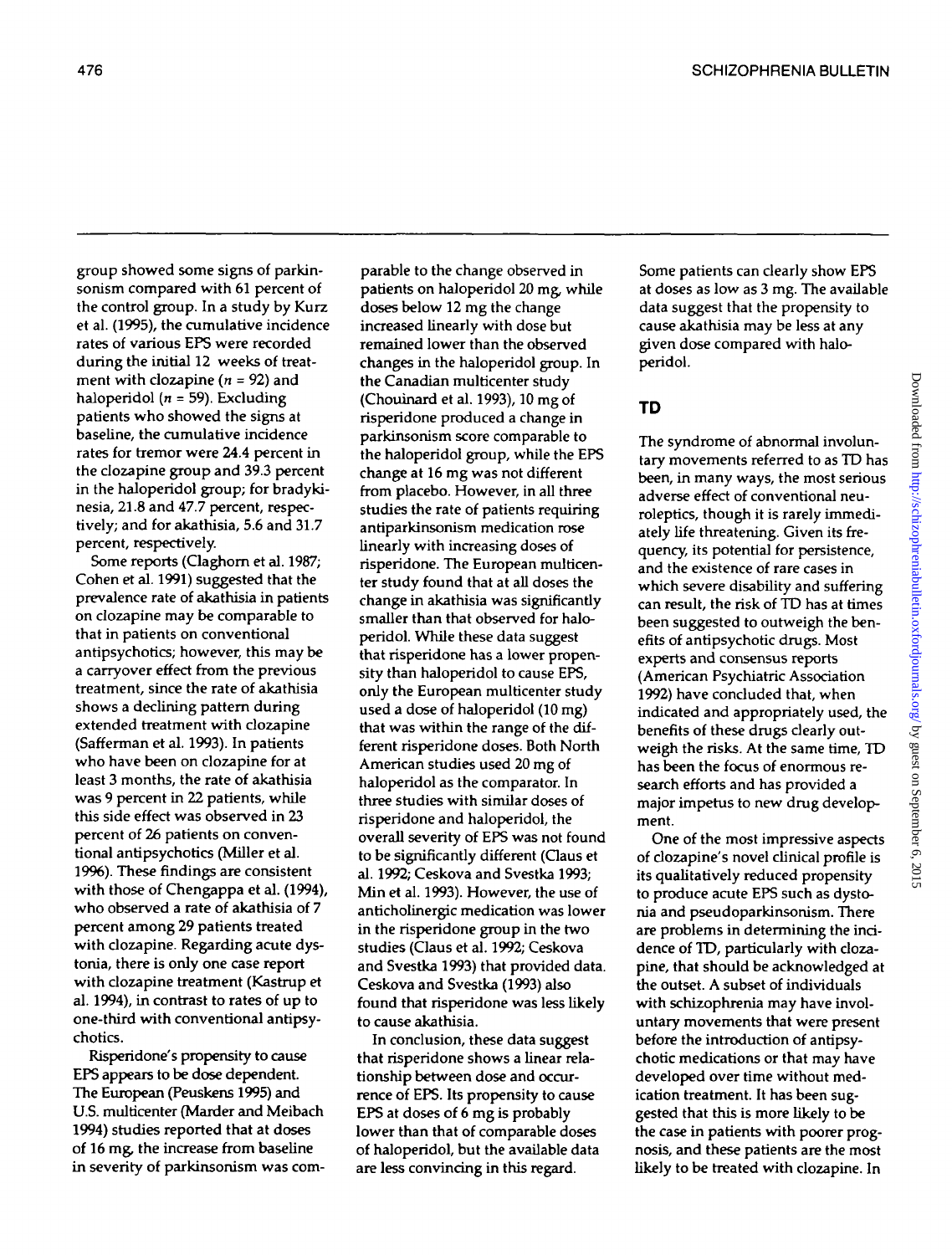group showed some signs of parkinsonism compared with 61 percent of the control group. In a study by Kurz et al. (1995), the cumulative incidence rates of various EPS were recorded during the initial 12 weeks of treatment with clozapine  $(n = 92)$  and haloperidol ( $n = 59$ ). Excluding patients who showed the signs at baseline, the cumulative incidence rates for tremor were 24.4 percent in the dozapine group and 39.3 percent in the haloperidol group; for bradykinesia, 21.8 and 47.7 percent, respectively; and for akathisia, 5.6 and 31.7 percent, respectively.

Some reports (Claghorn et al. 1987; Cohen et al. 1991) suggested that the prevalence rate of akathisia in patients on dozapine may be comparable to that in patients on conventional antipsychotics; however, this may be a carryover effect from the previous treatment, since the rate of akathisia shows a declining pattern during extended treatment with dozapine (Safferman et al. 1993). In patients who have been on dozapine for at least 3 months, the rate of akathisia was 9 percent in 22 patients, while this side effect was observed in 23 percent of 26 patients on conventional antipsychotics (Miller et al. 1996). These findings are consistent with those of Chengappa et al. (1994), who observed a rate of akathisia of 7 percent among 29 patients treated with dozapine. Regarding acute dystonia, there is only one case report with dozapine treatment (Kastrup et al. 1994), in contrast to rates of up to one-third with conventional antipsychotics.

Risperidone's propensity to cause EPS appears to be dose dependent The European (Peuskens 1995) and U.S. multicenter (Marder and Meibach 1994) studies reported that at doses of 16 mg, the increase from baseline in severity of parkinsonism was com-

parable to the change observed in patients on haloperidol 20 mg, while doses below 12 mg the change increased linearly with dose but remained lower than the observed changes in the haloperidol group. In the Canadian multicenter study (Chouinard et al. 1993), 10 mg of risperidone produced a change in parkinsonism score comparable to the haloperidol group, while the EPS change at 16 mg was not different from placebo. However, in all three studies the rate of patients requiring antiparkinsonism medication rose linearly with increasing doses of risperidone. The European multicenter study found that at all doses the change in akathisia was significantly smaller than that observed for haloperidol. While these data suggest that risperidone has a lower propensity than haloperidol to cause EPS, only the European multicenter study used a dose of haloperidol (10 mg) that was within the range of the different risperidone doses. Both North American studies used 20 mg of haloperidol as the comparator. In three studies with similar doses of risperidone and haloperidol, the overall severity of EPS was not found to be significantly different (Claus et al. 1992; Ceskova and Svestka 1993; Min et al. 1993). However, the use of anticholinergjc medication was lower in the risperidone group in the two studies (Claus et al. 1992; Ceskova and Svestka 1993) that provided data. Ceskova and Svestka (1993) also found that risperidone was less likely to cause akathisia.

In conclusion, these data suggest that risperidone shows a linear relationship between dose and occurrence of EPS. Its propensity to cause EPS at doses of 6 mg is probably lower than that of comparable doses of haloperidol, but the available data are less convincing in this regard.

Some patients can dearly show EPS at doses as low as 3 mg. The available data suggest that the propensity to cause akathisia may be less at any given dose compared with haloperidol.

# **TD**

The syndrome of abnormal involuntary movements referred to as TD has been, in many ways, the most serious adverse effect of conventional neuroleptics, though it is rarely immediately life threatening. Given its frequency, its potential for persistence, and the existence of rare cases in which severe disability and suffering can result, the risk of TD has at times been suggested to outweigh the benefits of antipsychotic drugs. Most experts and consensus reports (American Psychiatric Association 1992) have conduded that, when indicated and appropriately used, the benefits of these drugs dearly outweigh the risks. At the same time, TD has been the focus of enormous research efforts and has provided a major impetus to new drug development.

One of the most impressive aspects of dozapine's novel dinical profile is its qualitatively reduced propensity to produce acute EPS such as dystonia and pseudoparkinsonism. There are problems in determining the inddence of TD, particularly with dozapine, that should be acknowledged at the outset. A subset of individuals with schizophrenia may have involuntary movements that were present before the introduction of antipsychotic medications or that may have developed over time without medication treatment. It has been suggested that this is more likely to be the case in patients with poorer prognosis, and these patients are the most likely to be treated with clozapine. In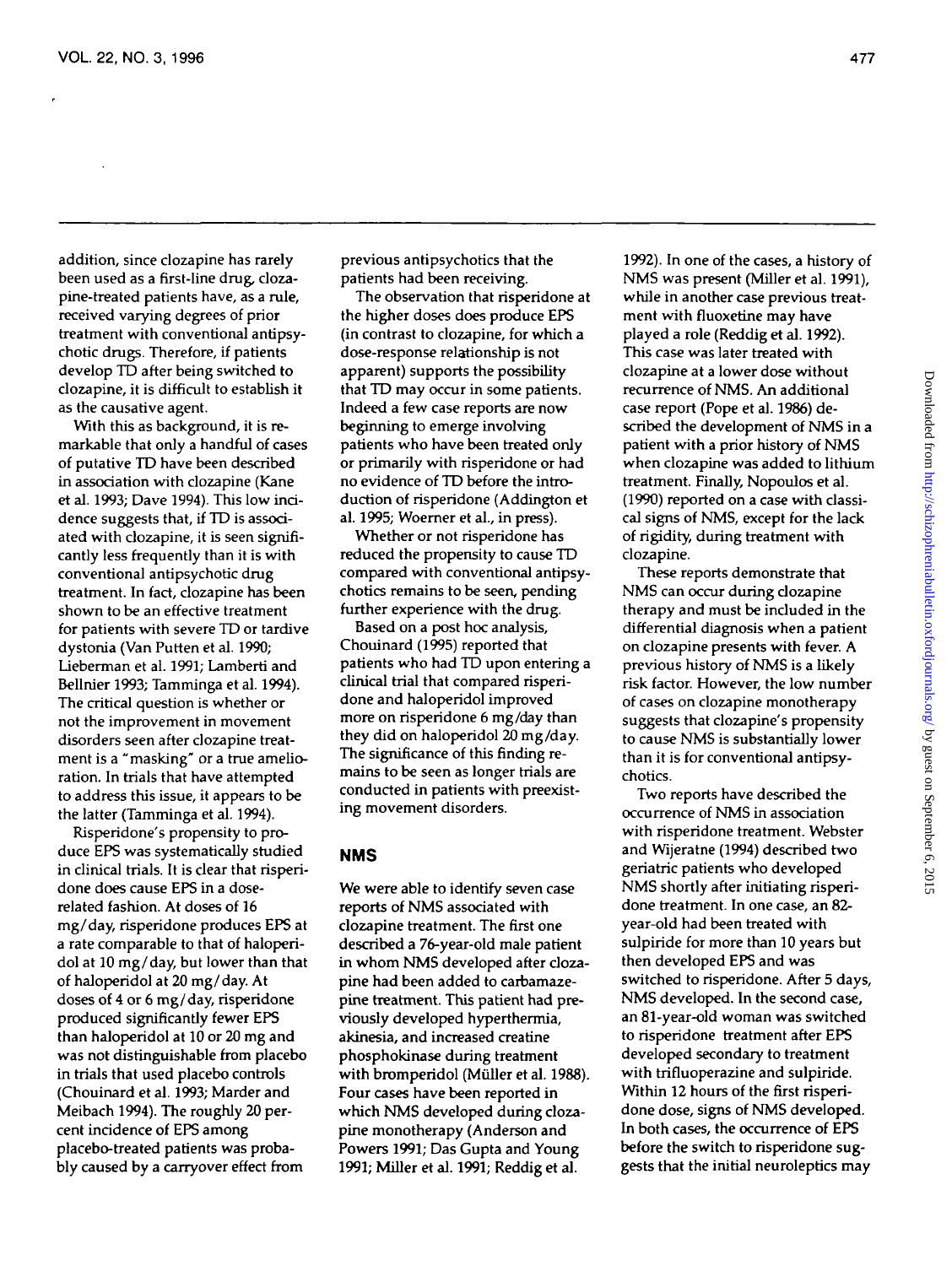addition, since clozapine has rarely been used as a first-line drug, dozapine-treated patients have, as a rule, received varying degrees of prior treatment with conventional antipsychotic drugs. Therefore, if patients develop TD after being switched to clozapine, it is difficult to establish it as the causative agent.

With this as background, it is remarkable that only a handful of cases of putative TD have been described in association with clozapine (Kane et al. 1993; Dave 1994). This low incidence suggests that, if TD is associated with clozapine, it is seen significantly less frequently than it is with conventional antipsychotic drug treatment. In fact, clozapine has been shown to be an effective treatment for patients with severe TD or tardive dystonia (Van Putten et al. 1990; Lieberman et al. 1991; Lamberti and Bellnier 1993; Tamminga et al. 1994). The critical question is whether or not the improvement in movement disorders seen after clozapine treatment is a "masking" or a true amelioration. In trials that have attempted to address this issue, it appears to be the latter (Tamminga et al. 1994).

Risperidone's propensity to produce EPS was systematically studied in clinical trials. It is dear that risperidone does cause EPS in a doserelated fashion. At doses of 16 mg/day, risperidone produces EPS at a rate comparable to that of haloperidol at 10 mg/day, but lower than that of haloperidol at 20 mg/day. At doses of 4 or 6 mg/day, risperidone produced significantly fewer EPS than haloperidol at 10 or 20 mg and was not distinguishable from placebo in trials that used placebo controls (Chouinard et al. 1993; Marder and Meibach 1994). The roughly 20 percent incidence of EPS among placebo-treated patients was probably caused by a carryover effect from

previous antipsychorics that the patients had been receiving.

The observation that risperidone at the higher doses does produce EPS (in contrast to clozapine, for which a dose-response relationship is not apparent) supports the possibility that TD may occur in some patients. Indeed a few case reports are now beginning to emerge involving patients who have been treated only or primarily with risperidone or had no evidence of TD before the introduction of risperidone (Addington et al. 1995; Woerner et al., in press).

Whether or not risperidone has reduced the propensity to cause TD compared with conventional antipsychotics remains to be seen, pending further experience with the drug.

Based on a post hoc analysis, Chouinard (1995) reported that patients who had TD upon entering a clinical trial that compared risperidone and haloperidol improved more on risperidone 6 mg/day than they did on haloperidol 20 mg/day. The significance of this finding remains to be seen as longer trials are conducted in patients with preexisting movement disorders.

# **NMS**

We were able to identify seven case reports of NMS assodated with clozapine treatment. The first one described a 76-year-old male patient in whom NMS developed after dozapine had been added to carbamazepine treatment. This patient had previously developed hyperthermia, akinesia, and increased creatine phosphokinase during treatment with bromperidol (Müller et al. 1988). Four cases have been reported in which NMS developed during clozapine monotherapy (Anderson and Powers 1991; Das Gupta and Young 1991; Miller et al. 1991; Reddig et al.

1992). In one of the cases, a history of NMS was present (Miller et al. 1991), while in another case previous treatment with fluoxetine may have played a role (Reddig et al. 1992). This case was later treated with clozapine at a lower dose without recurrence of NMS. An additional case report (Pope et al. 1986) described the development of NMS in a patient with a prior history of NMS when clozapine was added to lithium treatment. Finally, Nopoulos et al. (1990) reported on a case with dassical signs of NMS, except for the lack of rigidity, during treatment with dozapine.

These reports demonstrate that NMS can occur during dozapine therapy and must be induded in the differential diagnosis when a patient on dozapine presents with fever. A previous history of NMS is a likely risk factor. However, the low number of cases on clozapine monotherapy suggests that clozapine's propensity to cause NMS is substantially lower than it is for conventional antipsychotics.

Two reports have described the occurrence of NMS in assodation with risperidone treatment. Webster and Wijeratne (1994) described two geriatric patients who developed NMS shortly after initiating risperidone treatment. In one case, an 82 year-old had been treated with sulpiride for more than 10 years but then developed EPS and was switched to risperidone. After 5 days, NMS developed. In the second case, an 81-year-old woman was switched to risperidone treatment after EPS developed secondary to treatment with trifluoperazine and sulpiride. Within 12 hours of the first risperidone dose, signs of NMS developed. In both cases, the occurrence of EPS before the switch to risperidone suggests that the initial neuroleptics may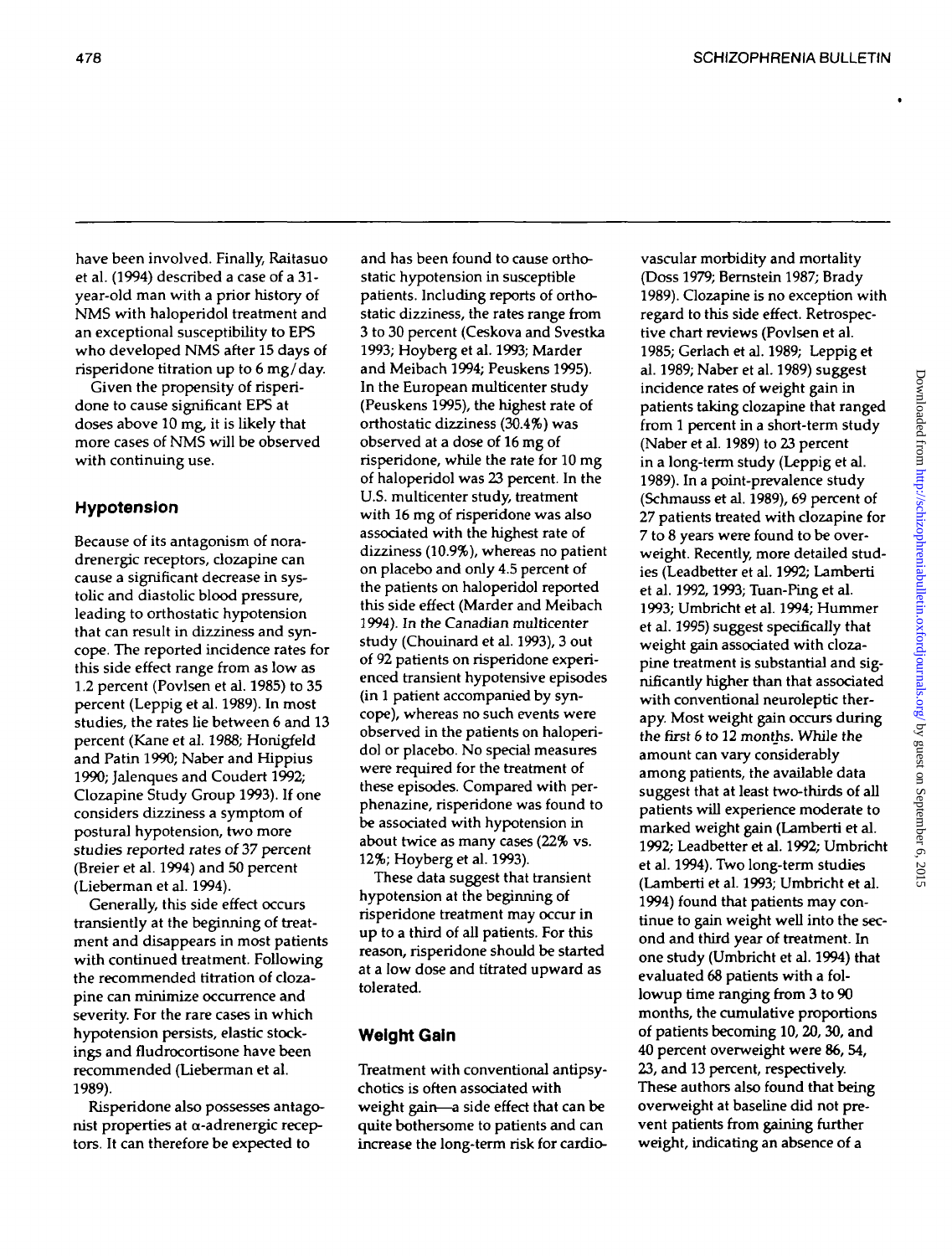have been involved. Finally, Raitasuo et al. (1994) described a case of a 31 year-old man with a prior history of NMS with haloperidol treatment and an exceptional susceptibility to EPS who developed NMS after 15 days of risperidone titration up to 6 mg/day.

Given the propensity of risperidone to cause significant EPS at doses above 10 mg, it is likely that more cases of NMS will be observed with continuing use.

#### **Hypotension**

Because of its antagonism of noradrenergic receptors, dozapine can cause a significant decrease in systolic and diastolic blood pressure, leading to orthostatic hypotension that can result in dizziness and syncope. The reported incidence rates for this side effect range from as low as 1.2 percent (Povlsen et al. 1985) to 35 percent (Leppig et al. 1989). In most studies, the rates lie between 6 and 13 percent (Kane et al. 1988; Honigfeld and Patin 1990; Naber and Hippius 1990; Jalenques and Coudert 1992; Clozapine Study Group 1993). If one considers dizziness a symptom of postural hypotension, two more studies reported rates of 37 percent (Breier et al. 1994) and 50 percent (Lieberman et al. 1994).

Generally, this side effect occurs transiently at the beginning of treatment and disappears in most patients with continued treatment. Following the recommended titration of clozapine can minimize occurrence and severity. For the rare cases in which hypotension persists, elastic stockings and fludrocortisone have been recommended (Lieberman et al. 1989).

Risperidone also possesses antagonist properties at a-adrenergic receptors. It can therefore be expected to

and has been found to cause orthostatic hypotension in susceptible patients. Including reports of orthostatic dizziness, the rates range from 3 to 30 percent (Ceskova and Svestka 1993; Hoyberg et al. 1993; Marder and Meibach 1994; Peuskens 1995). In the European multicenter study (Peuskens 1995), the highest rate of orthostatic dizziness (30.4%) was observed at a dose of 16 mg of risperidone, while the rate for 10 mg of haloperidol was 23 percent. In the U.S. multicenter study, treatment with 16 mg of risperidone was also associated with the highest rate of dizziness (10.9%), whereas no patient on placebo and only 4.5 percent of the patients on haloperidol reported this side effect (Marder and Meibach 1994). In the Canadian multicenter study (Chouinard et al. 1993), 3 out of 92 patients on risperidone experienced transient hypotensive episodes (in 1 patient accompanied by syncope), whereas no such events were observed in the patients on haloperidol or placebo. No special measures were required for the treatment of these episodes. Compared with perphenazine, risperidone was found to phenazine, itsperiuolie was found re associated with hypotelision in about twice as many cases

These data suggest that transient hypotension at the beginning of risperidone treatment may occur in up to a third of all patients. For this reason, risperidone should be started at a low dose and titrated upward as tolerated.

## **Weight Gain**

Treatment with conventional antipsychotics is often associated with weight gain—a side effect that can be quite bothersome to patients and can increase the long-term risk for cardio-

vascular morbidity and mortality (Doss 1979; Bernstein 1987; Brady 1989). Clozapine is no exception with regard to this side effect. Retrospective chart reviews (Povlsen et al. 1985; Gerlach et al. 1989; Leppig et al. 1989; Naber et al. 1989) suggest incidence rates of weight gain in patients taking clozapine that ranged from 1 percent in a short-term study (Naber et al. 1989) to 23 percent in a long-term study (Leppig et al. 1989). In a point-prevalence study (Schmauss et al. 1989), 69 percent of 27 patients treated with dozapine for 7 to 8 years were found to be overweight. Recently, more detailed studies (Leadbetter et al. 1992; Lamberti et al. 1992,1993; Tuan-Ping et al. 1993; Umbricht et al. 1994; Hummer et al. 1995) suggest specifically that weight gain associated with clozapine treatment is substantial and significantly higher than that assodated with conventional neuroleptic therapy. Most weight gain occurs during the first 6 to 12 months. While the amount can vary considerably among patients, the available data suggest that at least two-thirds of all patients will experience moderate to marked weight gain (Lamberti et al. 1992; Leadbetter et al. 1992; Umbricht et al. 1994). Two long-term studies (Lamberti et al. 1993; Umbricht et al. 1994) found that patients may continue to gain weight well into the second and third year of treatment. In one study (Umbricht et al. 1994) that evaluated 68 patients with a followup time ranging from 3 to 90 months, the cumulative proportions of patients becoming 10,20,30, and 40 percent overweight were 86, 54, 23, and 13 percent, respectively. These authors also found that being overweight at baseline did not prevent patients from gaining further weight, indicating an absence of a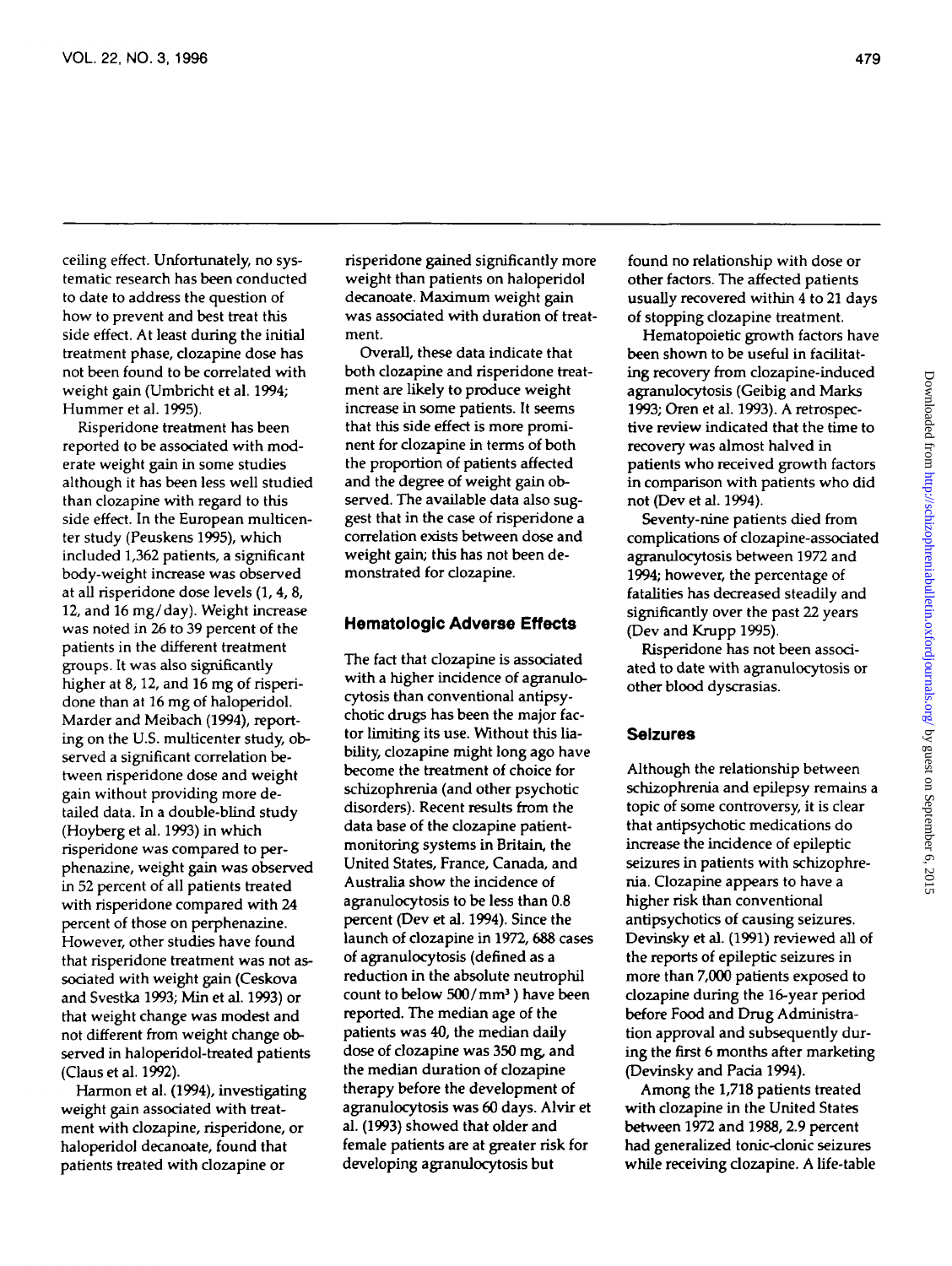ceiling effect. Unfortunately, no systematic research has been conducted to date to address the question of how to prevent and best treat this side effect. At least during the initial treatment phase, dozapine dose has not been found to be correlated with weight gain (Umbricht et al. 1994; Hummer et al. 1995).

Risperidone treatment has been reported to be assodated with moderate weight gain in some studies although it has been less well studied than clozapine with regard to this side effect. In the European multicenter study (Peuskens 1995), which included 1,362 patients, a significant body-weight increase was observed at all risperidone dose levels (1, 4, 8, 12, and 16 mg/day). Weight increase was noted in 26 to 39 percent of the patients in the different treatment groups. It was also significantly higher at 8, 12, and 16 mg of risperidone than at 16 mg of haloperidol. Marder and Meibach (1994), reporting on the U.S. multicenter study, observed a significant correlation between risperidone dose and weight gain without providing more detailed data. In a double-blind study (Hoyberg et al. 1993) in which risperidone was compared to perphenazine, weight gain was observed in 52 percent of all patients treated with risperidone compared with 24 percent of those on perphenazine. However, other studies have found that risperidone treatment was not associated with weight gain (Ceskova and Svestka 1993; Min et al. 1993) or that weight change was modest and not different from weight change observed in haloperidol-treated patients (Claus et al. 1992).

Harmon et al. (1994), investigating weight gain associated with treatment with dozapine, risperidone, or haloperidol decanoate, found that patients treated with dozapine or

risperidone gained significantly more weight than patients on haloperidol decanoate. Maximum weight gain was assodated with duration of treatment.

Overall, these data indicate that both dozapine and risperidone treatment are likely to produce weight increase in some patients. It seems that this side effect is more prominent for dozapine in terms of both the proportion of patients affected and the degree of weight gain observed. The available data also suggest that in the case of risperidone a correlation exists between dose and weight gain; this has not been demonstrated for dozapine.

#### **Hematologic Adverse Effects**

The fact that clozapine is associated with a higher incidence of agranulocytosis than conventional antipsychotic drugs has been the major factor limiting its use. Without this liability, dozapine might long ago have become the treatment of choice for schizophrenia (and other psychotic disorders). Recent results from the data base of the dozapine patientmonitoring systems in Britain, the United States, France, Canada, and Australia show the inddence of agranulocytosis to be less than 0.8 percent (Dev et al. 1994). Since the launch of clozapine in 1972, 688 cases of agranulocytosis (defined as a reduction in the absolute neutrophil count to below 500/mm<sup>3</sup> ) have been reported. The median age of the patients was 40, the median daily dose of dozapine was 350 mg, and the median duration of clozapine therapy before the development of agranulocytosis was 60 days. Alvir et al. (1993) showed that older and female patients are at greater risk for developing agranulocytosis but

found no relationship with dose or other factors. The affected patients usually recovered within 4 to 21 days of stopping dozapine treatment.

Hematopoietic growth factors have been shown to be useful in facilitating recovery from dozapine-induced agranulocytosis (Geibig and Marks 1993; Oren et al. 1993). A retrospective review indicated that the time to recovery was almost halved in patients who received growth factors in comparison with patients who did not (Dev et al. 1994).

Seventy-nine patients died from complications of dozapine-assodated agranulocytosis between 1972 and 1994; however, the percentage of fatalities has decreased steadily and significantly over the past 22 years (Dev and Krupp 1995).

Risperidone has not been assodated to date with agranulocytosis or other blood dyscrasias.

#### **Seizures**

Although the relationship between schizophrenia and epilepsy remains a topic of some controversy, it is clear that antipsydiotic medications do increase the incidence of epileptic seizures in patients with schizophrenia. Clozapine appears to have a higher risk than conventional antipsychotics of causing seizures. Devinsky et al. (1991) reviewed all of the reports of epileptic seizures in more than 7,000 patients exposed to dozapine during the 16-year period before Food and Drug Administration approval and subsequently during the first 6 months after marketing (Devinsky and Pacia 1994).

Among the 1,718 patients treated with dozapine in the United States between 1972 and 1988, 2.9 percent had generalized tonic-donic seizures while receiving dozapine. A life-table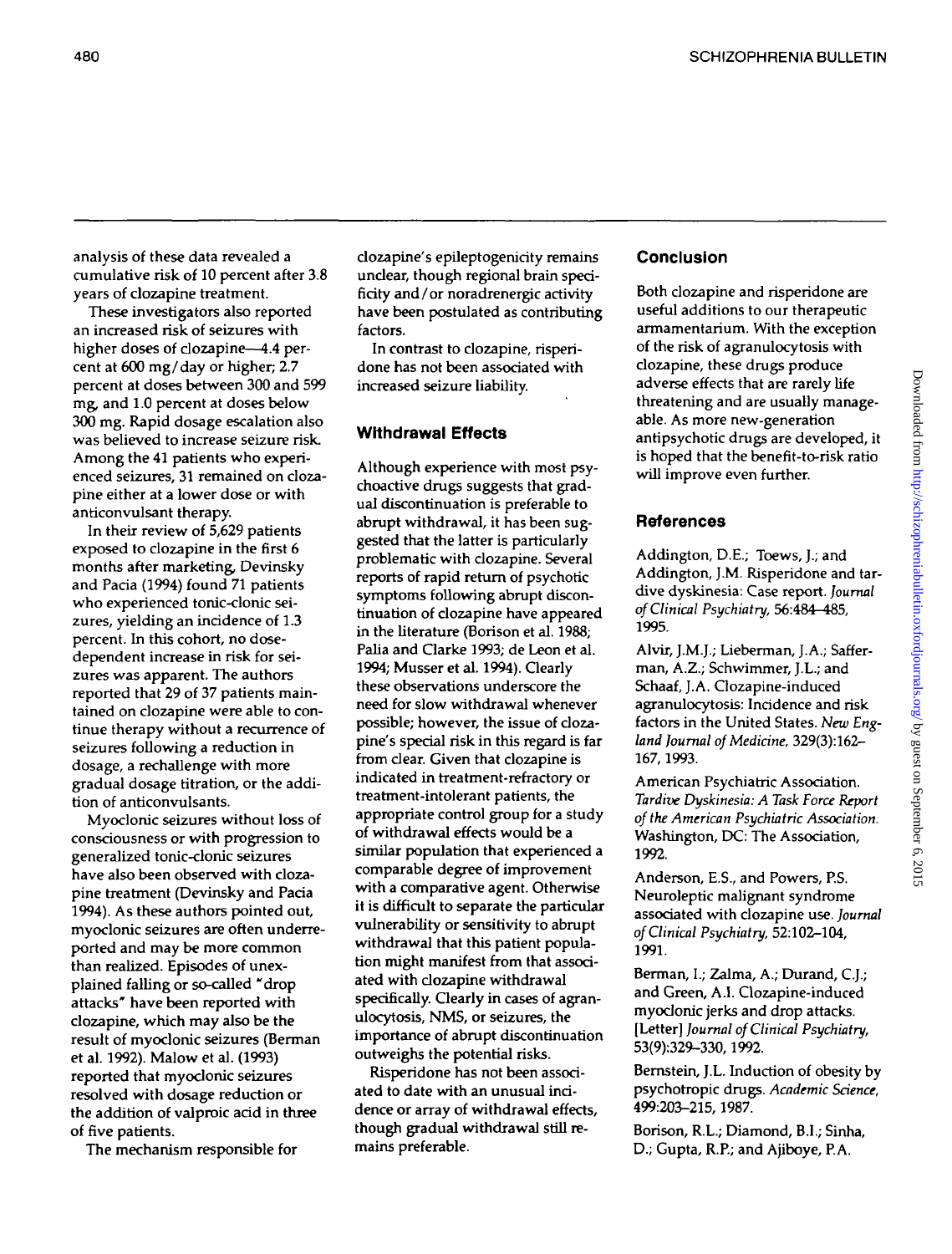analysis of these data revealed a cumulative risk of 10 percent after 3.8 years of dozapine treatment.

These investigators also reported an increased risk of seizures with higher doses of clozapine—4.4 percent at 600 mg/day or higher; 2.7 percent at doses between 300 and 599 mg, and 1.0 percent at doses below 300 mg. Rapid dosage escalation also was believed to increase seizure risk. Among the 41 patients who experienced seizures, 31 remained on dozapine either at a lower dose or with anticonvulsant therapy.

In their review of 5,629 patients exposed to dozapine in the first 6 months after marketing, Devinsky and Pacia (1994) found 71 patients who experienced tonic-clonic seizures, yielding an incidence of 1.3 percent. In this cohort, no dosedependent increase in risk for seizures was apparent. The authors reported that 29 of 37 patients maintained on dozapine were able to continue therapy without a recurrence of seizures following a reduction in dosage, a rechallenge with more gradual dosage titration, or the addition of anticonvulsants.

Myoclonic seizures without loss of consciousness or with progression to generalized tonic-donic seizures have also been observed with dozapine treatment (Devinsky and Pacia 1994). As these authors pointed out, myoclonic seizures are often underreported and may be more common than realized. Episodes of unexplained falling or so-called "drop attacks" have been reported with dozapine, which may also be the result of myodonic seizures (Berman et al. 1992). Malow et al. (1993) reported that myodonic seizures resolved with dosage reduction or the addition of valproic acid in three of five patients.

The mechanism responsible for

dozapine's epileptogenidty remains undear, though regional brain spedficity and/or noradrenergic activity have been postulated as contributing factors.

In contrast to dozapine, risperidone has not been assoriated with increased seizure liability.

# **Withdrawal Effects**

Although experience with most psychoactive drugs suggests that gradual discontinuation is preferable to abrupt withdrawal, it has been suggested that the latter is particularly problematic with dozapine. Several reports of rapid return of psychotic symptoms following abrupt discontinuation of dozapine have appeared in the literature (Borison et al. 1988; Palia and Clarke 1993; de Leon et al. 1994; Musser et al. 1994). Clearly these observations underscore the need for slow withdrawal whenever possible; however, the issue of clozapine's special risk in this regard is far from dear. Given that dozapine is indicated in treatment-refractory or treatment-intolerant patients, the appropriate control group for a study of withdrawal effects would be a similar population that experienced a comparable degree of improvement with a comparative agent. Otherwise it is difficult to separate the particular vulnerability or sensitivity to abrupt withdrawal that this patient population might manifest from that assodated with dozapine withdrawal specifically. Clearly in cases of agranulocytosis, NMS, or seizures, the importance of abrupt discontinuation outweighs the potential risks.

Risperidone has not been assoriated to date with an unusual incidence or array of withdrawal effects, though gradual withdrawal still remains preferable.

# **Conclusion**

Both dozapine and risperidone are useful additions to our therapeutic armamentarium. With the exception of the risk of agranulocytosis with dozapine, these drugs produce adverse effects that are rarely life threatening and are usually manageable. As more new-generation antipsychotic drugs are developed, it is hoped that the benefit-to-risk ratio will improve even further.

## **References**

Addington, D.E.; Toews, *];,* and Addington, J.M. Risperidone and tardive dyskinesia: Case report. *Journal of Clinical Psychiatry,* 56:484-485, 1995.

Alvir, J.M.J.; Lieberman, J.A.; Safferman, A.Z.; Schwimmer, J.L.; and Schaaf, J.A. Clozapine-induced agranulocytosis: Incidence and risk factors in the United States. *New England Journal of Medicine,* 329(3):162- 167,1993.

American Psychiatric Association. *Tardive Dyskinesia: A Task Force Report of the American Psychiatric Association.* Washington, DC: The Association, 1992.

Anderson, E.S., and Powers, P.S. Neuroleptic malignant syndrome associated with dozapine use. *Journal of Clinical Psychiatry,* 52:102-104, 1991.

Berman, I.; Zalma, A.; Durand, C.J.; and Green, A.I. Clozapine-induced myodonic jerks and drop attacks. [Letter] *Journal of Clinical Psychiatry,* 53(9):329-330,1992.

Bernstein, J.L. Induction of obesity by psychotropic drugs. *Academic Science,* 499:203-215,1987.

Borison, R.L.; Diamond, B.I.; Sinha, D.; Gupta, R.P.; and Ajiboye, PA.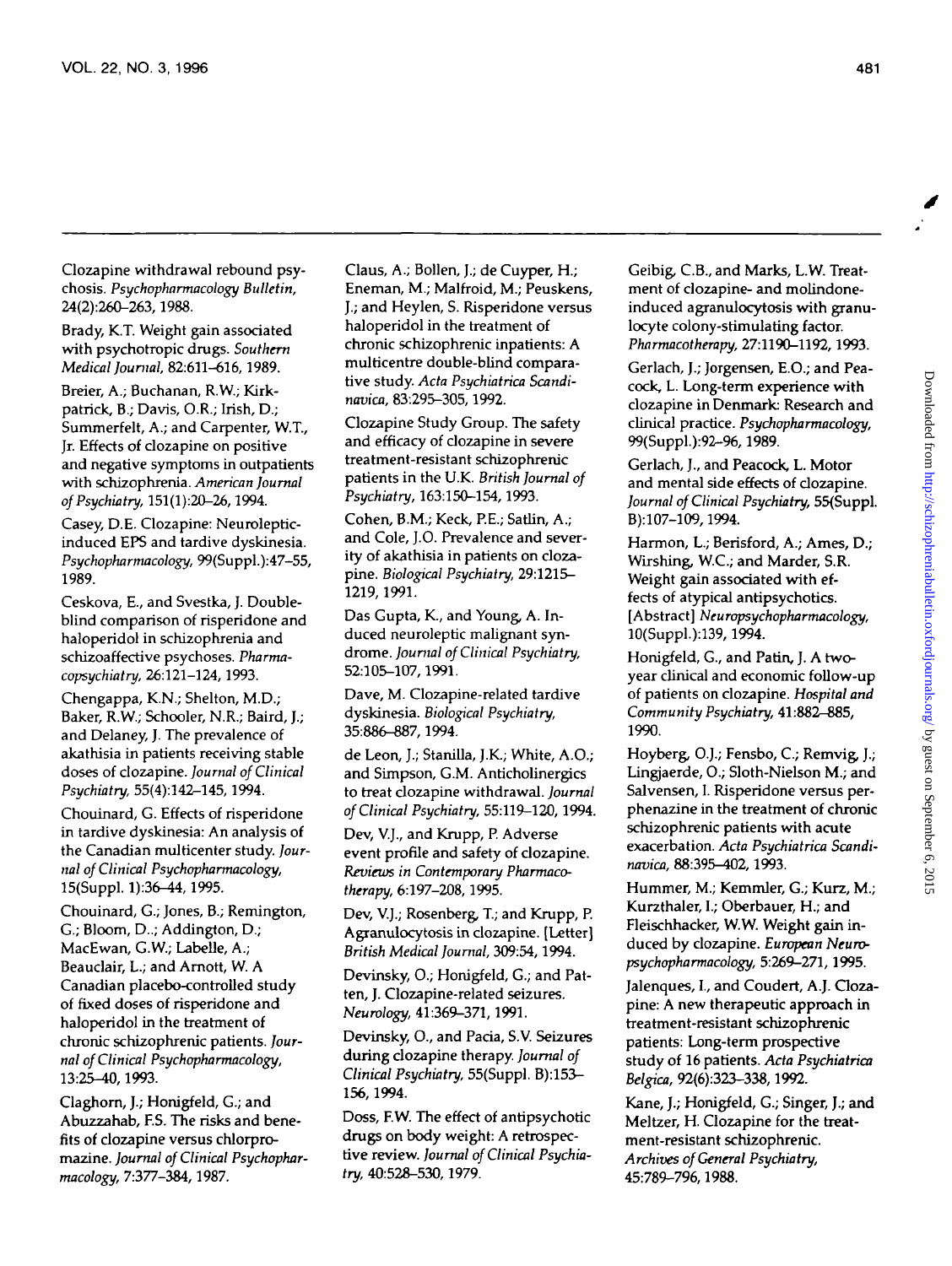Clozapine withdrawal rebound psychosis. *Psychopharmacology Bulletin,* 24(2):260-263/1988.

Brady, K.T. Weight gain associated with psychotropic drugs. *Southern Medical Journal,* 82:611-616,1989.

Breier, A.; Buchanan, R.W.; Kirkpatrick, B.; Davis, O.R.; Irish, D.; Summerfelt, A.; and Carpenter, W.T., Jr. Effects of dozapine on positive and negative symptoms in outpatients with schizophrenia. *American Journal of Psychiatry,* 151(l):20-26,1994.

Casey, D.E. Clozapine: Neurolepticinduced EPS and tardive dyskinesia. *Psychopharmacology,* 99(Suppl.):47-55, 1989.

Ceskova, E., and Svestka, J. Doubleblind comparison of risperidone and haloperidol in schizophrenia and schizoaffective psychoses. *Pharmacopsychiatry,* 26:121-124,1993.

Chengappa, K.N.; Shelton, M.D.; Baker, R.W.; Schooler, N.R.; Baird, J.; and Delaney, J. The prevalence of akathisia in patients receiving stable doses of dozapine. *Journal of Clinical Psychiatry,* 55(4):142-145,1994.

Chouinard, G. Effects of risperidone in tardive dyskinesia: An analysis of the Canadian multicenter study. *Journal of Clinical Psychopharmacology,* 15(Suppl. l):36-44,1995.

Chouinard, G.; Jones, B.; Remington, G.; Bloom, D..; Addington, D.; MacEwan, G.W.; Labelle, A.; Beauclair, L.; and Arnott, W. A. Canadian placebo-controlled study of fixed doses of risperidone and haloperidol in the treatment of chronic schizophrenic patients. *Journal of Clinical Psychopharmacology,* 13:25-40,1993.

Claghorn, J.; Honigfeld, G.; and Abuzzahab, F.S. The risks and benefits of dozapine versus chlorpromazine. *Journal of Clinical Psychopharmacology,* 7:377-384,1987.

Claus, A.; Bollen, J.; de Cuyper, H.; Eneman, M.; Malfroid, M.; Peuskens, J.; and Heylen, S. Risperidone versus haloperidol in the treatment of chronic schizophrenic inpatients: A multicentre double-blind comparative study. *Ada Psychiatrica Scandinavica,* 83:295-305,1992.

Clozapine Study Group. The safety and efficacy of dozapine in severe treatment-resistant schizophrenic patients in the U.K. *British Journal of Psychiatry,* 163:150-154,1993.

Cohen, B.M.; Keck, P.E.; Satlin, A.; and Cole, J.O. Prevalence and severity of akathisia in patients on dozapine. *Biological Psychiatry,* 29:1215- 1219,1991.

Das Gupta, K., and Young, A. Induced neuroleptic malignant syndrome. *Journal of Clinical Psychiatry,* 52:105-107,1991.

Dave, M. Clozapine-related tardive dyskinesia. *Biological Psychiatry,* 35:886-887,1994.

de Leon, J.; Stanilla, J.K.; White, A.O.; and Simpson, G.M. Anticholinergics to treat clozapine withdrawal. *Journal of Clinical Psychiatry,* 55:119-120,1994.

Dev, V.J., and Krupp, P. Adverse event profile and safety of dozapine. *Reviews in Contemporary Pharmacotherapy,* 6:197-208,1995.

Dev, V.J.; Rosenberg, T; and Krupp, P. Agranulocytosis in dozapine. [Letter] *British Medical Journal,* 309:54,1994.

Devinsky, O.; Honigfeld, G.; and Patten, J. Clozapine-related seizures. *Neurology,* 41:369-371,1991.

Devinsky, O., and Pacia, S.V. Seizures during dozapine therapy. *Journal of Clinical Psychiatry,* 55(Suppl. B):153- 156,1994.

Doss, F.W. The effect of antipsychotic drugs on body weight: A retrospective review. *Journal of Clinical Psychiatry,* 40:528-530,1979.

Geibig, C.B., and Marks, L.W. Treatment of clozapine- and molindoneinduced agranulocytosis with granulocyte colony-stimulating factor. *Pharmacotherapy,* 27:1190-1192,1993.

Gerlach, J.; Jorgensen, E.O.; and Peacock, L. Long-term experience with dozapine in Denmark: Research and clinical practice. *Psychopharmacology,* 99(Suppl.):92-96,1989.

Gerlach, J., and Peacock, L. Motor and mental side effects of dozapine. *Journal of Clinical Psychiatry,* 55{Suppl. B):107-109,1994.

Harmon, L.; Berisford, A.; Ames, D.; Wirshing, W.C.; and Marder, S.R. Weight gain associated with effects of atypical antipsychotics. [Abstract] *Neuropsychopharmacology,* 10(Suppl.):139,1994.

Honigfeld, G., and Patin, J. A twoyear clinical and economic follow-up of patients on clozapine. *Hospital and Community Psychiatry,* 41:882-885, 1990.

Hoyberg, O.J.; Fensbo, C; Remvig, J.; Lingjaerde, 0.; Sloth-Nielson M.; and Salvensen, I. Risperidone versus perphenazine in the treatment of chronic schizophrenic patients with acute exacerbation. *Ada Psychiatrica Scandinavica,* 88:395-402,1993.

Hummer, M.; Kemmler, G.; Kurz, M.; Kurzthaler, I.; Oberbauer, H.; and Fleischhacker, W.W. Weight gain induced by dozapine. *European Neuropsychopharmacology,* 5:269-271,1995.

Jalenques, I., and Coudert, A.J. Clozapine: A new therapeutic approach in treatment-resistant schizophrenic patients: Long-term prospective study of 16 patients. *Ada Psychiatrica Belgica,* 92<6):323-338,1992.

Kane, J.; Honigfeld, G.; Singer, J.; and Meltzer, H. Clozapine for the treatment-resistant schizophrenic. *Archives of General Psychiatry,* 45:789-796,1988.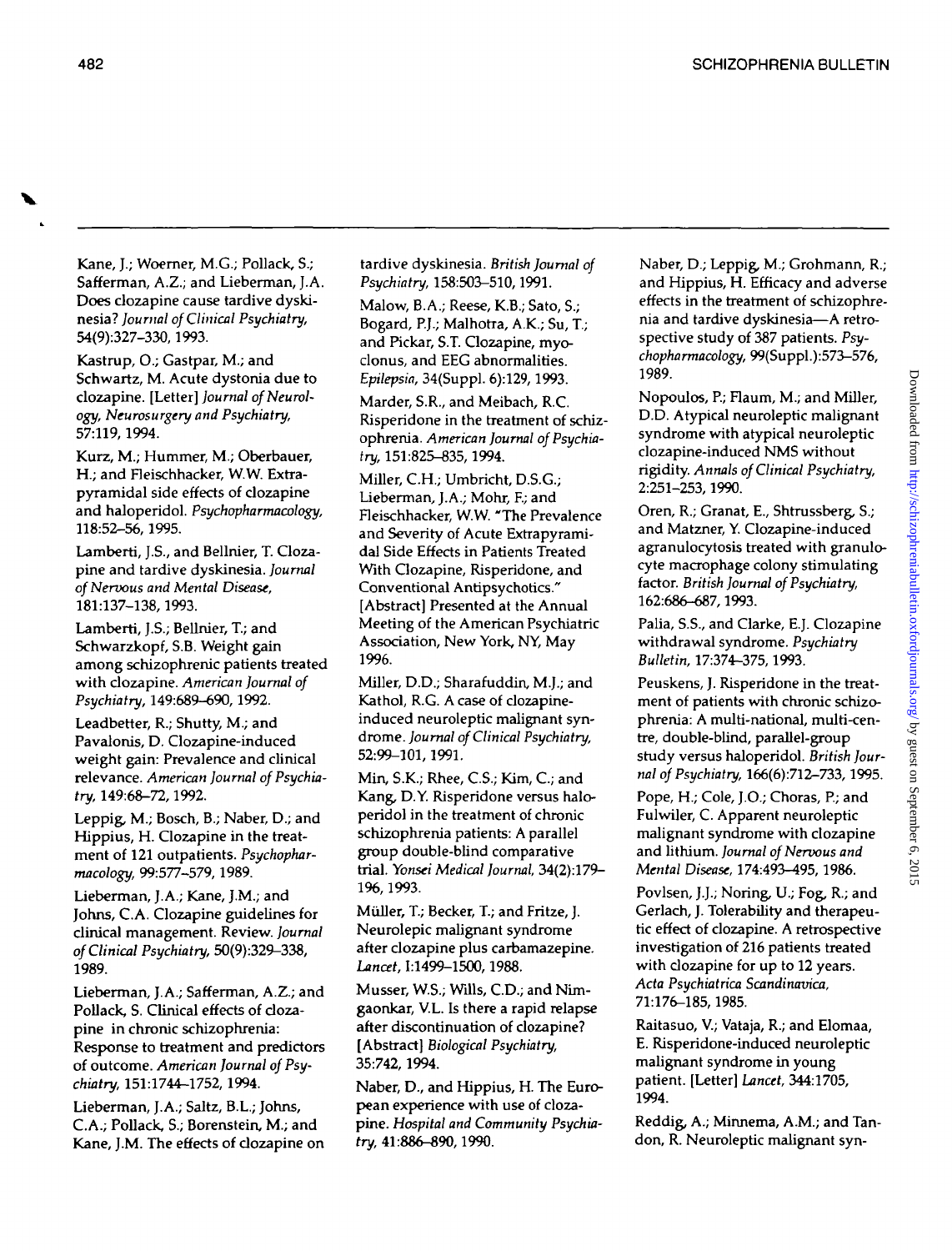Kane, J.; Woerner, M.G.; Pollack, S.; Safferman, A.Z.; and Lieberman, J.A. Does dozapine cause tardive dyskinesia? *Journal of Clinical Psychiatry,* 54{9):327-330,1993.

Kastrup, O.; Gastpar, M.; and Schwartz, M. Acute dystonia due to clozapine. [Letter] *Journal of Neurology, Neurosurgery and Psychiatry,* 57:119,1994.

Kurz, M.; Hummer, M.; Oberbauer, H.; and Fleischhacker, W.W. Extrapyramidal side effects of clozapine and haloperidol. *Psychopharmacology,* 118:52-56,1995.

Lamberti, J.S., and Bellnier, T. Clozapine and tardive dyskinesia. *Journal of Nervous and Mental Disease,* 181:137-138,1993.

Lamberti, J.S.; Bellnier, T; and Schwarzkopf, S.B. Weight gain among schizophrenic patients treated with clozapine. *American Journal of Psychiatry,* 149:689-690,1992.

Leadbetter, R.; Shutty, M.; and Pavalonis, D. Clozapine-induced weight gain: Prevalence and clinical relevance. *American Journal of Psychiatry,* 149:68-72,1992.

Leppig, M.; Bosch, B.; Naber, D.; and Hippius, H. Clozapine in the treatment of 121 outpatients. *Psychopharmacology,* 99:577-579,1989.

Lieberman, J.A.; Kane, J.M.; and Johns, C.A. Clozapine guidelines for clinical management. Review. *Journal of Clinical Psychiatry,* 5O(9):329-338, 1989.

Lieberman, J. A.; Safferman, A.Z.; and Pollack, S. Clinical effects of clozapine in chronic schizophrenia: Response to treatment and predictors of outcome. *American Journal of Psychiatry,* 151:1744-1752, 1994.

Lieberman, J.A.; Saltz, B.L.; Johns, C.A.; Pollack, S.; Borenstein, M.; and Kane, J.M. The effects of dozapine on tardive dyskinesia. *British Journal of Psychiatry,* 158:503-510,1991.

Malow, B.A.; Reese, K.B.; Sato, S.; Bogard, P.J.; Malhotra, A.K.; Su, T.; and Pickar, S.T. Clozapine, myoclonus, and EEG abnormalities. *Epilepsia,* 34(Suppl. 6):129,1993.

Marder, S.R., and Meibach, R.C. Risperidone in the treatment of schizophrenia. *American Journal of Psychiatry,* 151:825-835,1994.

Miller, C.H.; Umbricht, D.S.G.; Lieberman, J.A.; Mohr, R; and Fleischhacker, W.W. "The Prevalence and Severity of Acute Exrrapyramidal Side Effects in Patients Treated With Clozapine, Risperidone, and Conventional Antipsychotics." [Abstract] Presented at the Annual Meeting of the American Psychiatric Association, New York, NY, May 1996.

Miller, D.D.; Sharafuddin, M.J.; and Kathol, R.G. A case of dozapineinduced neuroleptic malignant syndrome. *Journal of Clinical Psychiatry,* 52:99-101,1991.

Min, S.K.; Rhee, C.S.; Kim, C; and Kang, D.Y. Risperidone versus haloperidol in the treatment of chronic schizophrenia patients: A parallel group double-blind comparative trial. Yonsei Medical Journal, 34(2):179-1%, 1993.

Müller, T.; Becker, T.; and Fritze, J. Neurolepic malignant syndrome after dozapine plus carbamazepine. *Lancet,* 1:1499-1500,1988.

Musser, W.S.; Wills, C.D.; and Nimgaonkar, V.L. Is there a rapid relapse after discontinuation of dozapine? [Abstract] *Biological Psychiatry,* 35:742,1994.

Naber, D., and Hippius, H. The European experience with use of clozapine. *Hospital and Community Psychiatry,* 41:886-890,1990.

Naber, D.; Leppig, M.; Grohmann, R.; and Hippius, H. Efficacy and adverse effects in the treatment of schizophrenia and tardive dyskinesia—A retrospective study of 387 patients. *Psychopharmacology,* 99(Suppl.):573-576, 1989.

Nopoulos, P.; Flaum, M.; and Miller, D.D. Atypical neuroleptic malignant syndrome with atypical neuroleptic clozapine-induced NMS without rigidity. *Annals of Clinical Psychiatry,* 2:251-253,1990.

Oren, R.; Granat, E., Shtrussberg, S.; and Matzner, Y. Clozapine-induced agranulocytosis treated with granulocyte macrophage colony stimulating factor. *British Journal of Psychiatry,* 162:686-687,1993.

Palia, S.S., and Clarke, E.J. Clozapine withdrawal syndrome. *Psychiatry Bulletin,* 17:374-375,1993.

Peuskens, J. Risperidone in the treatment of patients with chronic schizophrenia: A multi-national, multi-centre, double-blind, parallel-group study versus haloperidol. *British Journal of Psychiatry,* 166(6)712-733,1995.

Pope, H.; Cole, J.O.; Choras, P.; and Fulwiler, C. Apparent neuroleptic malignant syndrome with clozapine and lithium. *Journal of Nervous and Mental Disease,* 174:493-495,1986.

Povlsen, J.J.; Noring, U.; Fog, R.; and Gerlach, J. Tolerability and therapeutic effect of dozapine. A retrospective investigation of 216 patients treated with dozapine for up to 12 years. *Ada Psychiatrica Scandinavica,* 71:176-185,1985.

Raitasuo, V.; Vataja, R.; and Elomaa, E. Risperidone-induced neuroleptic malignant syndrome in young patient. [Letter] *Lancet,* 344:1705, 1994.

Reddig, A.; Minnema, A.M.; and Tandon, R. Neuroleptic malignant syn